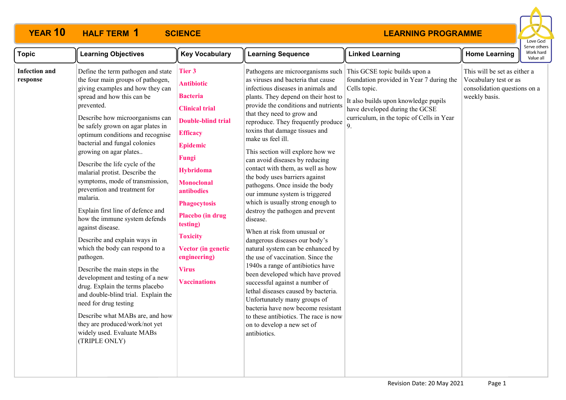

| <b>Topic</b>                     | <b>Learning Objectives</b>                                                                                                                                                                                                                                                                                                                                                                                                                                                                                                                                                                                                                                                                                                                                                                                                                                                                                                                               | <b>Key Vocabulary</b>                                                                                                                                                                                                                                                                                                                                                    | <b>Learning Sequence</b>                                                                                                                                                                                                                                                                                                                                                                                                                                                                                                                                                                                                                                                                                                                                                                                                                                                                                                                                                                                                                                                                  | <b>Linked Learning</b>                                                                                                                                                                                                 | <b>Home Learning</b>                                                                                   | Serve other<br>Work hard<br>Value all |
|----------------------------------|----------------------------------------------------------------------------------------------------------------------------------------------------------------------------------------------------------------------------------------------------------------------------------------------------------------------------------------------------------------------------------------------------------------------------------------------------------------------------------------------------------------------------------------------------------------------------------------------------------------------------------------------------------------------------------------------------------------------------------------------------------------------------------------------------------------------------------------------------------------------------------------------------------------------------------------------------------|--------------------------------------------------------------------------------------------------------------------------------------------------------------------------------------------------------------------------------------------------------------------------------------------------------------------------------------------------------------------------|-------------------------------------------------------------------------------------------------------------------------------------------------------------------------------------------------------------------------------------------------------------------------------------------------------------------------------------------------------------------------------------------------------------------------------------------------------------------------------------------------------------------------------------------------------------------------------------------------------------------------------------------------------------------------------------------------------------------------------------------------------------------------------------------------------------------------------------------------------------------------------------------------------------------------------------------------------------------------------------------------------------------------------------------------------------------------------------------|------------------------------------------------------------------------------------------------------------------------------------------------------------------------------------------------------------------------|--------------------------------------------------------------------------------------------------------|---------------------------------------|
| <b>Infection and</b><br>response | Define the term pathogen and state<br>the four main groups of pathogen,<br>giving examples and how they can<br>spread and how this can be<br>prevented.<br>Describe how microorganisms can<br>be safely grown on agar plates in<br>optimum conditions and recognise<br>bacterial and fungal colonies<br>growing on agar plates<br>Describe the life cycle of the<br>malarial protist. Describe the<br>symptoms, mode of transmission,<br>prevention and treatment for<br>malaria.<br>Explain first line of defence and<br>how the immune system defends<br>against disease.<br>Describe and explain ways in<br>which the body can respond to a<br>pathogen.<br>Describe the main steps in the<br>development and testing of a new<br>drug. Explain the terms placebo<br>and double-blind trial. Explain the<br>need for drug testing<br>Describe what MABs are, and how<br>they are produced/work/not yet<br>widely used. Evaluate MABs<br>(TRIPLE ONLY) | <b>Tier 3</b><br><b>Antibiotic</b><br><b>Bacteria</b><br><b>Clinical trial</b><br><b>Double-blind trial</b><br><b>Efficacy</b><br><b>Epidemic</b><br>Fungi<br><b>Hybridoma</b><br><b>Monoclonal</b><br>antibodies<br><b>Phagocytosis</b><br>Placebo (in drug<br>testing)<br><b>Toxicity</b><br>Vector (in genetic<br>engineering)<br><b>Virus</b><br><b>Vaccinations</b> | Pathogens are microorganisms such<br>as viruses and bacteria that cause<br>infectious diseases in animals and<br>plants. They depend on their host to<br>provide the conditions and nutrients<br>that they need to grow and<br>reproduce. They frequently produce<br>toxins that damage tissues and<br>make us feel ill.<br>This section will explore how we<br>can avoid diseases by reducing<br>contact with them, as well as how<br>the body uses barriers against<br>pathogens. Once inside the body<br>our immune system is triggered<br>which is usually strong enough to<br>destroy the pathogen and prevent<br>disease.<br>When at risk from unusual or<br>dangerous diseases our body's<br>natural system can be enhanced by<br>the use of vaccination. Since the<br>1940s a range of antibiotics have<br>been developed which have proved<br>successful against a number of<br>lethal diseases caused by bacteria.<br>Unfortunately many groups of<br>bacteria have now become resistant<br>to these antibiotics. The race is now<br>on to develop a new set of<br>antibiotics. | This GCSE topic builds upon a<br>foundation provided in Year 7 during the<br>Cells topic.<br>It also builds upon knowledge pupils<br>have developed during the GCSE<br>curriculum, in the topic of Cells in Year<br>9. | This will be set as either a<br>Vocabulary test or as<br>consolidation questions on a<br>weekly basis. |                                       |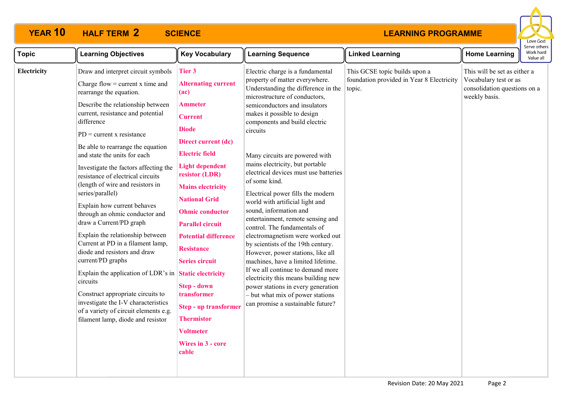

| <b>Topic</b> | <b>Learning Objectives</b>                                                                                                                                                                                                                                                                                                                                                                                                                                                                                                                                                                                                                                                                                                                                                                                                                                                                      | <b>Key Vocabulary</b>                                                                                                                                                                                                                                                                                                                                                                                                                                                                                                   | <b>Learning Sequence</b>                                                                                                                                                                                                                                                                                                                                                                                                                                                                                                                                                                                                                                                                                                                                                                                                                                                                                      | <b>Linked Learning</b>                                                               | <b>Home Learning</b>                                                                                   | Serve othe<br>Work hard<br>Value all |
|--------------|-------------------------------------------------------------------------------------------------------------------------------------------------------------------------------------------------------------------------------------------------------------------------------------------------------------------------------------------------------------------------------------------------------------------------------------------------------------------------------------------------------------------------------------------------------------------------------------------------------------------------------------------------------------------------------------------------------------------------------------------------------------------------------------------------------------------------------------------------------------------------------------------------|-------------------------------------------------------------------------------------------------------------------------------------------------------------------------------------------------------------------------------------------------------------------------------------------------------------------------------------------------------------------------------------------------------------------------------------------------------------------------------------------------------------------------|---------------------------------------------------------------------------------------------------------------------------------------------------------------------------------------------------------------------------------------------------------------------------------------------------------------------------------------------------------------------------------------------------------------------------------------------------------------------------------------------------------------------------------------------------------------------------------------------------------------------------------------------------------------------------------------------------------------------------------------------------------------------------------------------------------------------------------------------------------------------------------------------------------------|--------------------------------------------------------------------------------------|--------------------------------------------------------------------------------------------------------|--------------------------------------|
| Electricity  | Draw and interpret circuit symbols<br>Charge flow = current $x$ time and<br>rearrange the equation.<br>Describe the relationship between<br>current, resistance and potential<br>difference<br>$PD = current x resistance$<br>Be able to rearrange the equation<br>and state the units for each<br>Investigate the factors affecting the<br>resistance of electrical circuits<br>(length of wire and resistors in<br>series/parallel)<br>Explain how current behaves<br>through an ohmic conductor and<br>draw a Current/PD graph<br>Explain the relationship between<br>Current at PD in a filament lamp,<br>diode and resistors and draw<br>current/PD graphs<br>Explain the application of LDR's in Static electricity<br>circuits<br>Construct appropriate circuits to<br>investigate the I-V characteristics<br>of a variety of circuit elements e.g.<br>filament lamp, diode and resistor | <b>Tier 3</b><br><b>Alternating current</b><br>(ac)<br>Ammeter<br><b>Current</b><br><b>Diode</b><br>Direct current (dc)<br><b>Electric field</b><br><b>Light dependent</b><br>resistor (LDR)<br><b>Mains electricity</b><br><b>National Grid</b><br><b>Ohmic conductor</b><br><b>Parallel circuit</b><br><b>Potential difference</b><br><b>Resistance</b><br><b>Series circuit</b><br><b>Step - down</b><br>transformer<br><b>Step - up transformer</b><br>Thermistor<br><b>Voltmeter</b><br>Wires in 3 - core<br>cable | Electric charge is a fundamental<br>property of matter everywhere.<br>Understanding the difference in the<br>microstructure of conductors,<br>semiconductors and insulators<br>makes it possible to design<br>components and build electric<br>circuits<br>Many circuits are powered with<br>mains electricity, but portable<br>electrical devices must use batteries<br>of some kind.<br>Electrical power fills the modern<br>world with artificial light and<br>sound, information and<br>entertainment, remote sensing and<br>control. The fundamentals of<br>electromagnetism were worked out<br>by scientists of the 19th century.<br>However, power stations, like all<br>machines, have a limited lifetime.<br>If we all continue to demand more<br>electricity this means building new<br>power stations in every generation<br>- but what mix of power stations<br>can promise a sustainable future? | This GCSE topic builds upon a<br>foundation provided in Year 8 Electricity<br>topic. | This will be set as either a<br>Vocabulary test or as<br>consolidation questions on a<br>weekly basis. |                                      |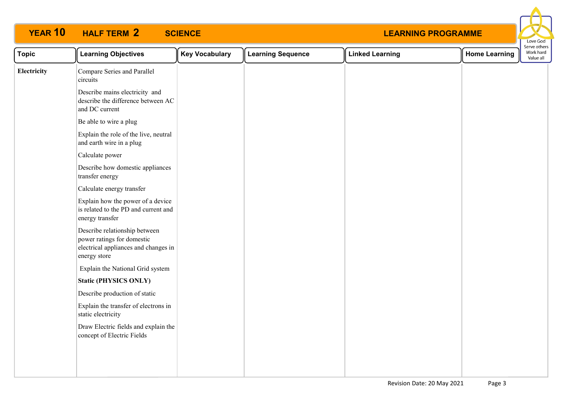

| <b>Topic</b> | <b>Learning Objectives</b>                                                                                          | <b>Key Vocabulary</b> | <b>Learning Sequence</b> | <b>Linked Learning</b> | <b>Home Learning</b> | Serve others<br>Work hard<br>Value all |
|--------------|---------------------------------------------------------------------------------------------------------------------|-----------------------|--------------------------|------------------------|----------------------|----------------------------------------|
| Electricity  | Compare Series and Parallel<br>circuits                                                                             |                       |                          |                        |                      |                                        |
|              | Describe mains electricity and<br>describe the difference between AC<br>and DC current                              |                       |                          |                        |                      |                                        |
|              | Be able to wire a plug                                                                                              |                       |                          |                        |                      |                                        |
|              | Explain the role of the live, neutral<br>and earth wire in a plug                                                   |                       |                          |                        |                      |                                        |
|              | Calculate power                                                                                                     |                       |                          |                        |                      |                                        |
|              | Describe how domestic appliances<br>transfer energy                                                                 |                       |                          |                        |                      |                                        |
|              | Calculate energy transfer                                                                                           |                       |                          |                        |                      |                                        |
|              | Explain how the power of a device<br>is related to the PD and current and<br>energy transfer                        |                       |                          |                        |                      |                                        |
|              | Describe relationship between<br>power ratings for domestic<br>electrical appliances and changes in<br>energy store |                       |                          |                        |                      |                                        |
|              | Explain the National Grid system                                                                                    |                       |                          |                        |                      |                                        |
|              | <b>Static (PHYSICS ONLY)</b>                                                                                        |                       |                          |                        |                      |                                        |
|              | Describe production of static                                                                                       |                       |                          |                        |                      |                                        |
|              | Explain the transfer of electrons in<br>static electricity                                                          |                       |                          |                        |                      |                                        |
|              | Draw Electric fields and explain the<br>concept of Electric Fields                                                  |                       |                          |                        |                      |                                        |
|              |                                                                                                                     |                       |                          |                        |                      |                                        |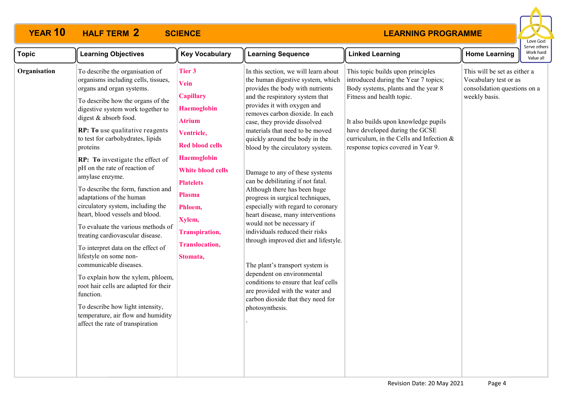

| <b>Topic</b> | <b>Learning Objectives</b>                                                                                                                                                                                                                                                                                                                                                                                                                                                                                                                                                                                                                                                                                                                                                                                                                                                                                | <b>Key Vocabulary</b>                                                                                                                                                                                                                                                                       | <b>Learning Sequence</b>                                                                                                                                                                                                                                                                                                                                                                                                                                                                                                                                                                                                                                                                                                                                                                                                                                                                      | <b>Linked Learning</b>                                                                                                                                                                                                                                                                                    | <b>Home Learning</b>                                                                                   | serve otrier<br>Work hard<br>Value all |
|--------------|-----------------------------------------------------------------------------------------------------------------------------------------------------------------------------------------------------------------------------------------------------------------------------------------------------------------------------------------------------------------------------------------------------------------------------------------------------------------------------------------------------------------------------------------------------------------------------------------------------------------------------------------------------------------------------------------------------------------------------------------------------------------------------------------------------------------------------------------------------------------------------------------------------------|---------------------------------------------------------------------------------------------------------------------------------------------------------------------------------------------------------------------------------------------------------------------------------------------|-----------------------------------------------------------------------------------------------------------------------------------------------------------------------------------------------------------------------------------------------------------------------------------------------------------------------------------------------------------------------------------------------------------------------------------------------------------------------------------------------------------------------------------------------------------------------------------------------------------------------------------------------------------------------------------------------------------------------------------------------------------------------------------------------------------------------------------------------------------------------------------------------|-----------------------------------------------------------------------------------------------------------------------------------------------------------------------------------------------------------------------------------------------------------------------------------------------------------|--------------------------------------------------------------------------------------------------------|----------------------------------------|
| Organisation | To describe the organisation of<br>organisms including cells, tissues,<br>organs and organ systems.<br>To describe how the organs of the<br>digestive system work together to<br>digest & absorb food.<br>RP: To use qualitative reagents<br>to test for carbohydrates, lipids<br>proteins<br>RP: To investigate the effect of<br>pH on the rate of reaction of<br>amylase enzyme.<br>To describe the form, function and<br>adaptations of the human<br>circulatory system, including the<br>heart, blood vessels and blood.<br>To evaluate the various methods of<br>treating cardiovascular disease.<br>To interpret data on the effect of<br>lifestyle on some non-<br>communicable diseases.<br>To explain how the xylem, phloem,<br>root hair cells are adapted for their<br>function.<br>To describe how light intensity,<br>temperature, air flow and humidity<br>affect the rate of transpiration | Tier 3<br>Vein<br><b>Capillary</b><br><b>Haemoglobin</b><br><b>Atrium</b><br>Ventricle,<br><b>Red blood cells</b><br><b>Haemoglobin</b><br><b>White blood cells</b><br><b>Platelets</b><br><b>Plasma</b><br>Phloem,<br>Xylem,<br><b>Transpiration,</b><br><b>Translocation,</b><br>Stomata, | In this section, we will learn about<br>the human digestive system, which<br>provides the body with nutrients<br>and the respiratory system that<br>provides it with oxygen and<br>removes carbon dioxide. In each<br>case, they provide dissolved<br>materials that need to be moved<br>quickly around the body in the<br>blood by the circulatory system.<br>Damage to any of these systems<br>can be debilitating if not fatal.<br>Although there has been huge<br>progress in surgical techniques,<br>especially with regard to coronary<br>heart disease, many interventions<br>would not be necessary if<br>individuals reduced their risks<br>through improved diet and lifestyle.<br>The plant's transport system is<br>dependent on environmental<br>conditions to ensure that leaf cells<br>are provided with the water and<br>carbon dioxide that they need for<br>photosynthesis. | This topic builds upon principles<br>introduced during the Year 7 topics;<br>Body systems, plants and the year 8<br>Fitness and health topic.<br>It also builds upon knowledge pupils<br>have developed during the GCSE<br>curriculum, in the Cells and Infection &<br>response topics covered in Year 9. | This will be set as either a<br>Vocabulary test or as<br>consolidation questions on a<br>weekly basis. |                                        |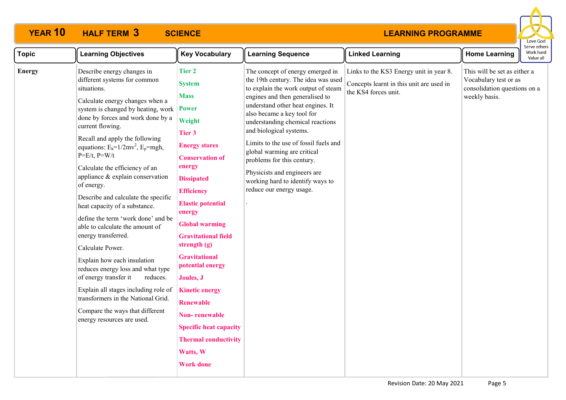

| <b>Topic</b>  | <b>Learning Objectives</b>                                                                                                                                                                                                                                                                                                                                                                                                                                                                                                                                                                                                                                                                                                                                                                                                                               | <b>Key Vocabulary</b>                                                                                                                                                                                                                                                                                                                                                                                                                                                                                                                | <b>Learning Sequence</b>                                                                                                                                                                                                                                                                                                                                                                                                                                                                  | <b>Linked Learning</b>                                                                                      | <b>Home Learning</b>                                                                                   | Work hard<br>Value all |
|---------------|----------------------------------------------------------------------------------------------------------------------------------------------------------------------------------------------------------------------------------------------------------------------------------------------------------------------------------------------------------------------------------------------------------------------------------------------------------------------------------------------------------------------------------------------------------------------------------------------------------------------------------------------------------------------------------------------------------------------------------------------------------------------------------------------------------------------------------------------------------|--------------------------------------------------------------------------------------------------------------------------------------------------------------------------------------------------------------------------------------------------------------------------------------------------------------------------------------------------------------------------------------------------------------------------------------------------------------------------------------------------------------------------------------|-------------------------------------------------------------------------------------------------------------------------------------------------------------------------------------------------------------------------------------------------------------------------------------------------------------------------------------------------------------------------------------------------------------------------------------------------------------------------------------------|-------------------------------------------------------------------------------------------------------------|--------------------------------------------------------------------------------------------------------|------------------------|
| <b>Energy</b> | Describe energy changes in<br>different systems for common<br>situations.<br>Calculate energy changes when a<br>system is changed by heating, work<br>done by forces and work done by a<br>current flowing.<br>Recall and apply the following<br>equations: $E_k = 1/2mv^2$ , $E_p = mgh$ ,<br>$P=E/t$ , $P=W/t$<br>Calculate the efficiency of an<br>appliance & explain conservation<br>of energy.<br>Describe and calculate the specific<br>heat capacity of a substance.<br>define the term 'work done' and be<br>able to calculate the amount of<br>energy transferred.<br>Calculate Power.<br>Explain how each insulation<br>reduces energy loss and what type<br>of energy transfer it<br>reduces.<br>Explain all stages including role of<br>transformers in the National Grid.<br>Compare the ways that different<br>energy resources are used. | <b>Tier 2</b><br><b>System</b><br><b>Mass</b><br><b>Power</b><br>Weight<br>Tier 3<br><b>Energy stores</b><br><b>Conservation of</b><br>energy<br><b>Dissipated</b><br><b>Efficiency</b><br><b>Elastic potential</b><br>energy<br><b>Global warming</b><br><b>Gravitational field</b><br>strength $(g)$<br><b>Gravitational</b><br>potential energy<br>Joules, J<br><b>Kinetic energy</b><br><b>Renewable</b><br><b>Non-renewable</b><br><b>Specific heat capacity</b><br><b>Thermal conductivity</b><br>Watts, W<br><b>Work done</b> | The concept of energy emerged in<br>the 19th century. The idea was used<br>to explain the work output of steam<br>engines and then generalised to<br>understand other heat engines. It<br>also became a key tool for<br>understanding chemical reactions<br>and biological systems.<br>Limits to the use of fossil fuels and<br>global warming are critical<br>problems for this century.<br>Physicists and engineers are<br>working hard to identify ways to<br>reduce our energy usage. | Links to the KS3 Energy unit in year 8.<br>Concepts learnt in this unit are used in<br>the KS4 forces unit. | This will be set as either a<br>Vocabulary test or as<br>consolidation questions on a<br>weekly basis. |                        |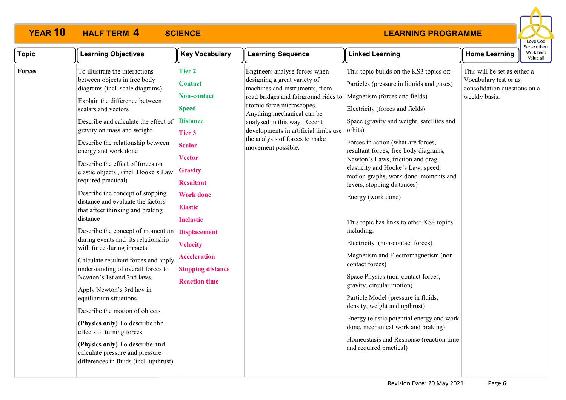

| <b>Topic</b> | <b>Learning Objectives</b>                                                                                                                                                                                                                                                                                                                                                                                                                                                                                                                                                                                                                                                                                                                                                                                                                                                                                                                                                                                         | <b>Key Vocabulary</b>                                                                                                                                                                                                                                                                                                                                     | <b>Learning Sequence</b>                                                                                                                                                                                                                                                                                                           | <b>Linked Learning</b>                                                                                                                                                                                                                                                                                                                                                                                                                                                                                                                                                                                                                                                                                                                                                                                                                                                                                                                | <b>Home Learning</b>                                                                                   | serve otne<br>Work hard<br>Value all |
|--------------|--------------------------------------------------------------------------------------------------------------------------------------------------------------------------------------------------------------------------------------------------------------------------------------------------------------------------------------------------------------------------------------------------------------------------------------------------------------------------------------------------------------------------------------------------------------------------------------------------------------------------------------------------------------------------------------------------------------------------------------------------------------------------------------------------------------------------------------------------------------------------------------------------------------------------------------------------------------------------------------------------------------------|-----------------------------------------------------------------------------------------------------------------------------------------------------------------------------------------------------------------------------------------------------------------------------------------------------------------------------------------------------------|------------------------------------------------------------------------------------------------------------------------------------------------------------------------------------------------------------------------------------------------------------------------------------------------------------------------------------|---------------------------------------------------------------------------------------------------------------------------------------------------------------------------------------------------------------------------------------------------------------------------------------------------------------------------------------------------------------------------------------------------------------------------------------------------------------------------------------------------------------------------------------------------------------------------------------------------------------------------------------------------------------------------------------------------------------------------------------------------------------------------------------------------------------------------------------------------------------------------------------------------------------------------------------|--------------------------------------------------------------------------------------------------------|--------------------------------------|
| Forces       | To illustrate the interactions<br>between objects in free body<br>diagrams (incl. scale diagrams)<br>Explain the difference between<br>scalars and vectors<br>Describe and calculate the effect of<br>gravity on mass and weight<br>Describe the relationship between<br>energy and work done<br>Describe the effect of forces on<br>elastic objects, (incl. Hooke's Law<br>required practical)<br>Describe the concept of stopping<br>distance and evaluate the factors<br>that affect thinking and braking<br>distance<br>Describe the concept of momentum<br>during events and its relationship<br>with force during impacts<br>Calculate resultant forces and apply<br>understanding of overall forces to<br>Newton's 1st and 2nd laws.<br>Apply Newton's 3rd law in<br>equilibrium situations<br>Describe the motion of objects<br>(Physics only) To describe the<br>effects of turning forces<br>(Physics only) To describe and<br>calculate pressure and pressure<br>differences in fluids (incl. upthrust) | <b>Tier 2</b><br><b>Contact</b><br><b>Non-contact</b><br><b>Speed</b><br><b>Distance</b><br>Tier 3<br><b>Scalar</b><br><b>Vector</b><br><b>Gravity</b><br><b>Resultant</b><br><b>Work done</b><br><b>Elastic</b><br><b>Inelastic</b><br><b>Displacement</b><br><b>Velocity</b><br><b>Acceleration</b><br><b>Stopping distance</b><br><b>Reaction time</b> | Engineers analyse forces when<br>designing a great variety of<br>machines and instruments, from<br>road bridges and fairground rides to<br>atomic force microscopes.<br>Anything mechanical can be<br>analysed in this way. Recent<br>developments in artificial limbs use<br>the analysis of forces to make<br>movement possible. | This topic builds on the KS3 topics of:<br>Particles (pressure in liquids and gases)<br>Magnetism (forces and fields)<br>Electricity (forces and fields)<br>Space (gravity and weight, satellites and<br>orbits)<br>Forces in action (what are forces,<br>resultant forces, free body diagrams,<br>Newton's Laws, friction and drag,<br>elasticity and Hooke's Law, speed,<br>motion graphs, work done, moments and<br>levers, stopping distances)<br>Energy (work done)<br>This topic has links to other KS4 topics<br>including:<br>Electricity (non-contact forces)<br>Magnetism and Electromagnetism (non-<br>contact forces)<br>Space Physics (non-contact forces,<br>gravity, circular motion)<br>Particle Model (pressure in fluids,<br>density, weight and upthrust)<br>Energy (elastic potential energy and work<br>done, mechanical work and braking)<br>Homeostasis and Response (reaction time<br>and required practical) | This will be set as either a<br>Vocabulary test or as<br>consolidation questions on a<br>weekly basis. |                                      |
|              |                                                                                                                                                                                                                                                                                                                                                                                                                                                                                                                                                                                                                                                                                                                                                                                                                                                                                                                                                                                                                    |                                                                                                                                                                                                                                                                                                                                                           |                                                                                                                                                                                                                                                                                                                                    |                                                                                                                                                                                                                                                                                                                                                                                                                                                                                                                                                                                                                                                                                                                                                                                                                                                                                                                                       |                                                                                                        |                                      |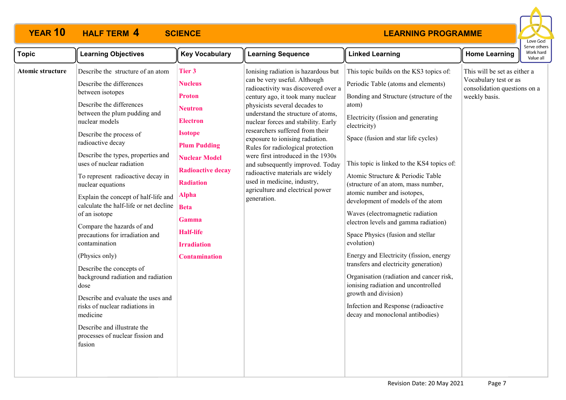

| Describe the structure of an atom<br><b>Tier 3</b><br>Ionising radiation is hazardous but<br>This topic builds on the KS3 topics of:<br>This will be set as either a<br>Atomic structure<br>can be very useful. Although<br>Vocabulary test or as                                                                                                                                                                                                                                                                                                                                                                                                                                                                                                                                                                                                                                                                                                                                                                                                                                                                                                                                                                                                                                                                                                                                                                                                                                                                                                                                                                                                                                                                                                                                                                                                                                                                                                                                                                                                                                                                                                                                                                                                                                                                                                                                                                         | <b>Key Vocabulary</b><br><b>Learning Sequence</b> | <b>Home Learning</b> |  | serve other:<br>Work hard<br>Value all |
|---------------------------------------------------------------------------------------------------------------------------------------------------------------------------------------------------------------------------------------------------------------------------------------------------------------------------------------------------------------------------------------------------------------------------------------------------------------------------------------------------------------------------------------------------------------------------------------------------------------------------------------------------------------------------------------------------------------------------------------------------------------------------------------------------------------------------------------------------------------------------------------------------------------------------------------------------------------------------------------------------------------------------------------------------------------------------------------------------------------------------------------------------------------------------------------------------------------------------------------------------------------------------------------------------------------------------------------------------------------------------------------------------------------------------------------------------------------------------------------------------------------------------------------------------------------------------------------------------------------------------------------------------------------------------------------------------------------------------------------------------------------------------------------------------------------------------------------------------------------------------------------------------------------------------------------------------------------------------------------------------------------------------------------------------------------------------------------------------------------------------------------------------------------------------------------------------------------------------------------------------------------------------------------------------------------------------------------------------------------------------------------------------------------------------|---------------------------------------------------|----------------------|--|----------------------------------------|
| Describe the differences<br><b>Nucleus</b><br>Periodic Table (atoms and elements)<br>radioactivity was discovered over a<br>consolidation questions on a<br>between isotopes<br><b>Proton</b><br>weekly basis.<br>century ago, it took many nuclear<br>Bonding and Structure (structure of the<br>Describe the differences<br>physicists several decades to<br>atom)<br><b>Neutron</b><br>understand the structure of atoms,<br>between the plum pudding and<br>Electricity (fission and generating<br><b>Electron</b><br>nuclear models<br>nuclear forces and stability. Early<br>electricity)<br>researchers suffered from their<br><b>Isotope</b><br>Describe the process of<br>Space (fusion and star life cycles)<br>exposure to ionising radiation.<br>radioactive decay<br><b>Plum Pudding</b><br>Rules for radiological protection<br>Describe the types, properties and<br>were first introduced in the 1930s<br><b>Nuclear Model</b><br>This topic is linked to the KS4 topics of:<br>uses of nuclear radiation<br>and subsequently improved. Today<br><b>Radioactive decay</b><br>radioactive materials are widely<br>Atomic Structure & Periodic Table<br>To represent radioactive decay in<br>used in medicine, industry,<br><b>Radiation</b><br>(structure of an atom, mass number,<br>nuclear equations<br>agriculture and electrical power<br>atomic number and isotopes,<br><b>Alpha</b><br>Explain the concept of half-life and<br>generation.<br>development of models of the atom<br>calculate the half-life or net decline<br><b>Beta</b><br>Waves (electromagnetic radiation<br>of an isotope<br><b>Gamma</b><br>electron levels and gamma radiation)<br>Compare the hazards of and<br><b>Half-life</b><br>precautions for irradiation and<br>Space Physics (fusion and stellar<br>evolution)<br>contamination<br><b>Irradiation</b><br>Energy and Electricity (fission, energy<br>(Physics only)<br><b>Contamination</b><br>transfers and electricity generation)<br>Describe the concepts of<br>Organisation (radiation and cancer risk,<br>background radiation and radiation<br>ionising radiation and uncontrolled<br>dose<br>growth and division)<br>Describe and evaluate the uses and<br>Infection and Response (radioactive<br>risks of nuclear radiations in<br>decay and monoclonal antibodies)<br>medicine<br>Describe and illustrate the<br>processes of nuclear fission and<br>fusion |                                                   |                      |  |                                        |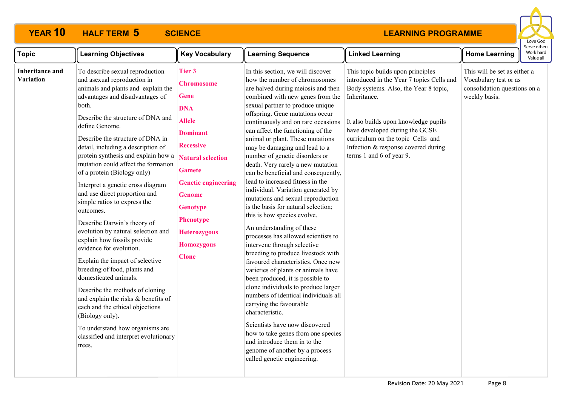

| <b>Topic</b>                        | <b>Learning Objectives</b>                                                                                                                                                                                                                                                                                                                                                                                                                                                                                                                                                                                                                                                                                                                                                                                                                                                                                                                                         | <b>Key Vocabulary</b>                                                                                                                                                                                                                                                                                           | <b>Learning Sequence</b>                                                                                                                                                                                                                                                                                                                                                                                                                                                                                                                                                                                                                                                                                                                                                                                                                                                                                                                                                                                                                                                                                                                                                                                                               | <b>Linked Learning</b>                                                                                                                                                                                                                                                                                                    | <b>Home Learning</b>                                                                                   | serve other<br>Work hard<br>Value all |
|-------------------------------------|--------------------------------------------------------------------------------------------------------------------------------------------------------------------------------------------------------------------------------------------------------------------------------------------------------------------------------------------------------------------------------------------------------------------------------------------------------------------------------------------------------------------------------------------------------------------------------------------------------------------------------------------------------------------------------------------------------------------------------------------------------------------------------------------------------------------------------------------------------------------------------------------------------------------------------------------------------------------|-----------------------------------------------------------------------------------------------------------------------------------------------------------------------------------------------------------------------------------------------------------------------------------------------------------------|----------------------------------------------------------------------------------------------------------------------------------------------------------------------------------------------------------------------------------------------------------------------------------------------------------------------------------------------------------------------------------------------------------------------------------------------------------------------------------------------------------------------------------------------------------------------------------------------------------------------------------------------------------------------------------------------------------------------------------------------------------------------------------------------------------------------------------------------------------------------------------------------------------------------------------------------------------------------------------------------------------------------------------------------------------------------------------------------------------------------------------------------------------------------------------------------------------------------------------------|---------------------------------------------------------------------------------------------------------------------------------------------------------------------------------------------------------------------------------------------------------------------------------------------------------------------------|--------------------------------------------------------------------------------------------------------|---------------------------------------|
| <b>Inheritance and</b><br>Variation | To describe sexual reproduction<br>and asexual reproduction in<br>animals and plants and explain the<br>advantages and disadvantages of<br>both.<br>Describe the structure of DNA and<br>define Genome.<br>Describe the structure of DNA in<br>detail, including a description of<br>protein synthesis and explain how a<br>mutation could affect the formation<br>of a protein (Biology only)<br>Interpret a genetic cross diagram<br>and use direct proportion and<br>simple ratios to express the<br>outcomes.<br>Describe Darwin's theory of<br>evolution by natural selection and<br>explain how fossils provide<br>evidence for evolution.<br>Explain the impact of selective<br>breeding of food, plants and<br>domesticated animals.<br>Describe the methods of cloning<br>and explain the risks & benefits of<br>each and the ethical objections<br>(Biology only).<br>To understand how organisms are<br>classified and interpret evolutionary<br>trees. | Tier 3<br><b>Chromosome</b><br><b>Gene</b><br><b>DNA</b><br><b>Allele</b><br><b>Dominant</b><br><b>Recessive</b><br><b>Natural selection</b><br><b>Gamete</b><br><b>Genetic engineering</b><br><b>Genome</b><br><b>Genotype</b><br><b>Phenotype</b><br><b>Heterozygous</b><br><b>Homozygous</b><br><b>Clone</b> | In this section, we will discover<br>how the number of chromosomes<br>are halved during meiosis and then<br>combined with new genes from the<br>sexual partner to produce unique<br>offspring. Gene mutations occur<br>continuously and on rare occasions<br>can affect the functioning of the<br>animal or plant. These mutations<br>may be damaging and lead to a<br>number of genetic disorders or<br>death. Very rarely a new mutation<br>can be beneficial and consequently,<br>lead to increased fitness in the<br>individual. Variation generated by<br>mutations and sexual reproduction<br>is the basis for natural selection;<br>this is how species evolve.<br>An understanding of these<br>processes has allowed scientists to<br>intervene through selective<br>breeding to produce livestock with<br>favoured characteristics. Once new<br>varieties of plants or animals have<br>been produced, it is possible to<br>clone individuals to produce larger<br>numbers of identical individuals all<br>carrying the favourable<br>characteristic.<br>Scientists have now discovered<br>how to take genes from one species<br>and introduce them in to the<br>genome of another by a process<br>called genetic engineering. | This topic builds upon principles<br>introduced in the Year 7 topics Cells and<br>Body systems. Also, the Year 8 topic,<br>Inheritance.<br>It also builds upon knowledge pupils<br>have developed during the GCSE<br>curriculum on the topic Cells and<br>Infection & response covered during<br>terms 1 and 6 of year 9. | This will be set as either a<br>Vocabulary test or as<br>consolidation questions on a<br>weekly basis. |                                       |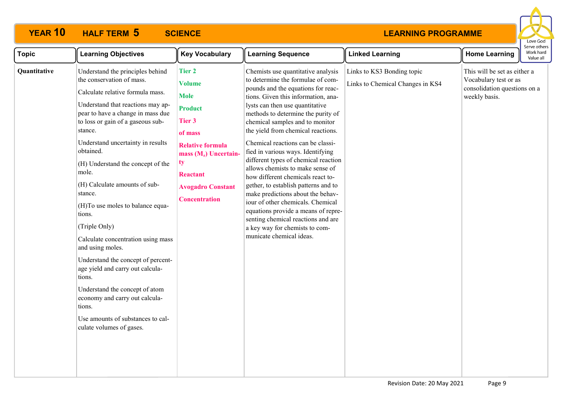

| <b>Topic</b> | <b>Learning Objectives</b>                                                                                                                                                                                                                                                                                                                                                                                                                                                                                                                                                                                                                                                                                                          | <b>Key Vocabulary</b>                                                                                                                                                                                                   | <b>Learning Sequence</b>                                                                                                                                                                                                                                                                                                                                                                                                                                                                                                                                                                                                                                                                                                                                       | <b>Linked Learning</b>                                         | <b>Home Learning</b>                                                                                   | perve otr<br>Work ha<br>Value a |
|--------------|-------------------------------------------------------------------------------------------------------------------------------------------------------------------------------------------------------------------------------------------------------------------------------------------------------------------------------------------------------------------------------------------------------------------------------------------------------------------------------------------------------------------------------------------------------------------------------------------------------------------------------------------------------------------------------------------------------------------------------------|-------------------------------------------------------------------------------------------------------------------------------------------------------------------------------------------------------------------------|----------------------------------------------------------------------------------------------------------------------------------------------------------------------------------------------------------------------------------------------------------------------------------------------------------------------------------------------------------------------------------------------------------------------------------------------------------------------------------------------------------------------------------------------------------------------------------------------------------------------------------------------------------------------------------------------------------------------------------------------------------------|----------------------------------------------------------------|--------------------------------------------------------------------------------------------------------|---------------------------------|
| Quantitative | Understand the principles behind<br>the conservation of mass.<br>Calculate relative formula mass.<br>Understand that reactions may ap-<br>pear to have a change in mass due<br>to loss or gain of a gaseous sub-<br>stance.<br>Understand uncertainty in results<br>obtained.<br>(H) Understand the concept of the<br>mole.<br>(H) Calculate amounts of sub-<br>stance.<br>(H)To use moles to balance equa-<br>tions.<br>(Triple Only)<br>Calculate concentration using mass<br>and using moles.<br>Understand the concept of percent-<br>age yield and carry out calcula-<br>tions.<br>Understand the concept of atom<br>economy and carry out calcula-<br>tions.<br>Use amounts of substances to cal-<br>culate volumes of gases. | <b>Tier 2</b><br><b>Volume</b><br><b>Mole</b><br><b>Product</b><br>Tier 3<br>of mass<br><b>Relative formula</b><br>mass $(M_r)$ Uncertain-<br>ty<br><b>Reactant</b><br><b>Avogadro Constant</b><br><b>Concentration</b> | Chemists use quantitative analysis<br>to determine the formulae of com-<br>pounds and the equations for reac-<br>tions. Given this information, ana-<br>lysts can then use quantitative<br>methods to determine the purity of<br>chemical samples and to monitor<br>the yield from chemical reactions.<br>Chemical reactions can be classi-<br>fied in various ways. Identifying<br>different types of chemical reaction<br>allows chemists to make sense of<br>how different chemicals react to-<br>gether, to establish patterns and to<br>make predictions about the behav-<br>iour of other chemicals. Chemical<br>equations provide a means of repre-<br>senting chemical reactions and are<br>a key way for chemists to com-<br>municate chemical ideas. | Links to KS3 Bonding topic<br>Links to Chemical Changes in KS4 | This will be set as either a<br>Vocabulary test or as<br>consolidation questions on a<br>weekly basis. |                                 |